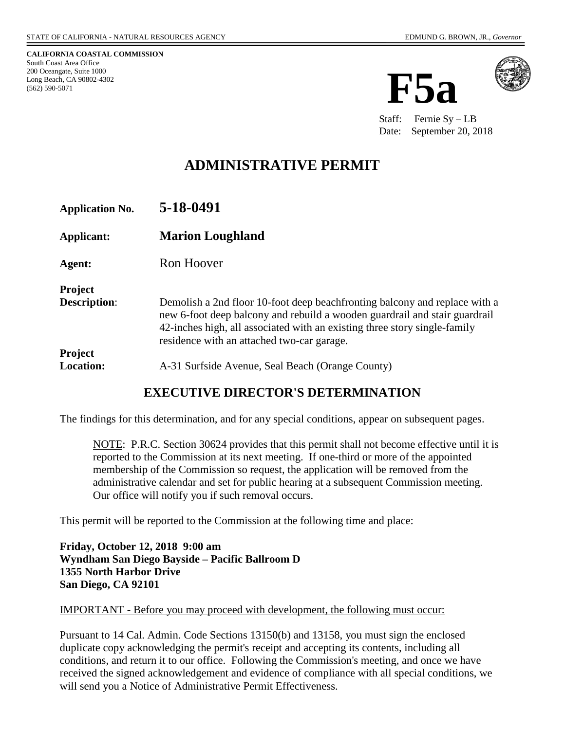**CALIFORNIA COASTAL COMMISSION** South Coast Area Office 200 Oceangate, Suite 1000 Long Beach, CA 90802-4302 (562) 590-5071





Staff: Fernie Sy – LB Date: September 20, 2018

# **ADMINISTRATIVE PERMIT**

| <b>Application No.</b>             | 5-18-0491                                                                                                                                                                                                                                                                           |
|------------------------------------|-------------------------------------------------------------------------------------------------------------------------------------------------------------------------------------------------------------------------------------------------------------------------------------|
| Applicant:                         | <b>Marion Loughland</b>                                                                                                                                                                                                                                                             |
| Agent:                             | Ron Hoover                                                                                                                                                                                                                                                                          |
| Project<br><b>Description:</b>     | Demolish a 2nd floor 10-foot deep beachfronting balcony and replace with a<br>new 6-foot deep balcony and rebuild a wooden guardrail and stair guardrail<br>42-inches high, all associated with an existing three story single-family<br>residence with an attached two-car garage. |
| <b>Project</b><br><b>Location:</b> | A-31 Surfside Avenue, Seal Beach (Orange County)                                                                                                                                                                                                                                    |

#### **EXECUTIVE DIRECTOR'S DETERMINATION**

The findings for this determination, and for any special conditions, appear on subsequent pages.

NOTE: P.R.C. Section 30624 provides that this permit shall not become effective until it is reported to the Commission at its next meeting. If one-third or more of the appointed membership of the Commission so request, the application will be removed from the administrative calendar and set for public hearing at a subsequent Commission meeting. Our office will notify you if such removal occurs.

This permit will be reported to the Commission at the following time and place:

**Friday, October 12, 2018 9:00 am Wyndham San Diego Bayside – Pacific Ballroom D 1355 North Harbor Drive San Diego, CA 92101**

#### IMPORTANT - Before you may proceed with development, the following must occur:

Pursuant to 14 Cal. Admin. Code Sections 13150(b) and 13158, you must sign the enclosed duplicate copy acknowledging the permit's receipt and accepting its contents, including all conditions, and return it to our office. Following the Commission's meeting, and once we have received the signed acknowledgement and evidence of compliance with all special conditions, we will send you a Notice of Administrative Permit Effectiveness.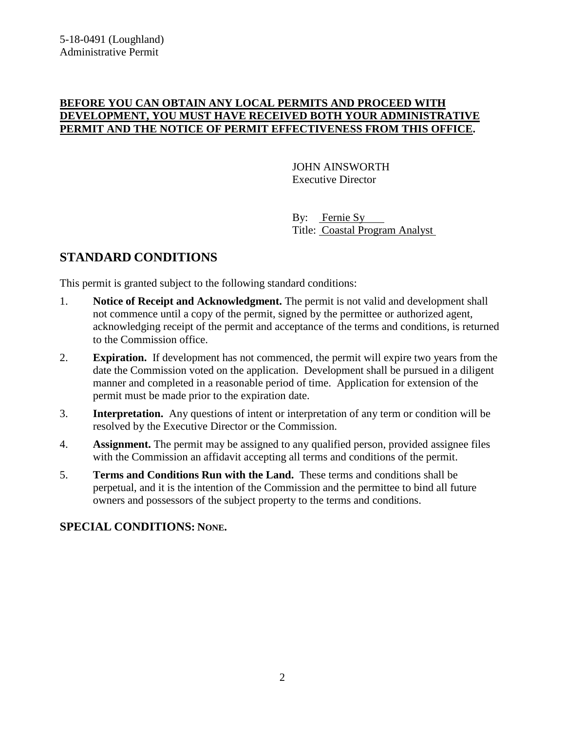#### **BEFORE YOU CAN OBTAIN ANY LOCAL PERMITS AND PROCEED WITH DEVELOPMENT, YOU MUST HAVE RECEIVED BOTH YOUR ADMINISTRATIVE PERMIT AND THE NOTICE OF PERMIT EFFECTIVENESS FROM THIS OFFICE.**

JOHN AINSWORTH Executive Director

By: Fernie Sy Title: Coastal Program Analyst

## **STANDARD CONDITIONS**

This permit is granted subject to the following standard conditions:

- 1. **Notice of Receipt and Acknowledgment.** The permit is not valid and development shall not commence until a copy of the permit, signed by the permittee or authorized agent, acknowledging receipt of the permit and acceptance of the terms and conditions, is returned to the Commission office.
- 2. **Expiration.** If development has not commenced, the permit will expire two years from the date the Commission voted on the application. Development shall be pursued in a diligent manner and completed in a reasonable period of time. Application for extension of the permit must be made prior to the expiration date.
- 3. **Interpretation.** Any questions of intent or interpretation of any term or condition will be resolved by the Executive Director or the Commission.
- 4. **Assignment.** The permit may be assigned to any qualified person, provided assignee files with the Commission an affidavit accepting all terms and conditions of the permit.
- 5. **Terms and Conditions Run with the Land.** These terms and conditions shall be perpetual, and it is the intention of the Commission and the permittee to bind all future owners and possessors of the subject property to the terms and conditions.

#### **SPECIAL CONDITIONS: NONE.**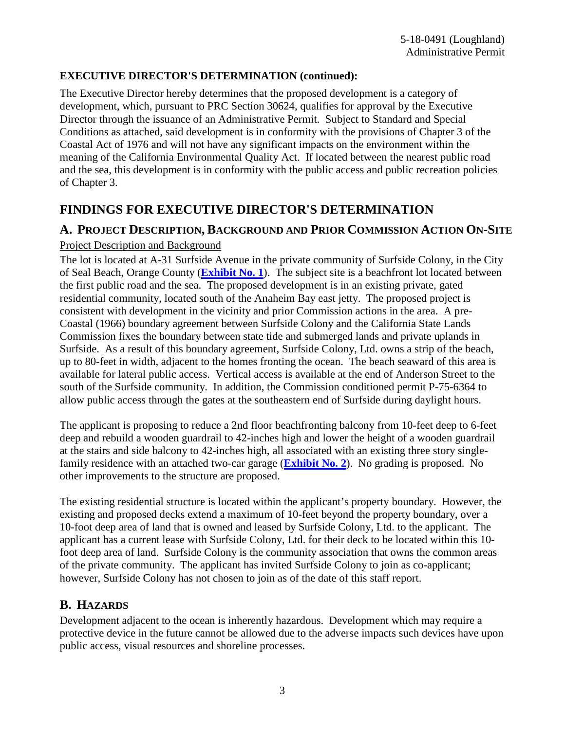#### **EXECUTIVE DIRECTOR'S DETERMINATION (continued):**

The Executive Director hereby determines that the proposed development is a category of development, which, pursuant to PRC Section 30624, qualifies for approval by the Executive Director through the issuance of an Administrative Permit. Subject to Standard and Special Conditions as attached, said development is in conformity with the provisions of Chapter 3 of the Coastal Act of 1976 and will not have any significant impacts on the environment within the meaning of the California Environmental Quality Act. If located between the nearest public road and the sea, this development is in conformity with the public access and public recreation policies of Chapter 3.

## **FINDINGS FOR EXECUTIVE DIRECTOR'S DETERMINATION**

#### **A. PROJECT DESCRIPTION, BACKGROUND AND PRIOR COMMISSION ACTION ON-SITE**

#### Project Description and Background

The lot is located at A-31 Surfside Avenue in the private community of Surfside Colony, in the City of Seal Beach, Orange County (**[Exhibit No. 1](https://documents.coastal.ca.gov/reports/2018/10/F5a/F5a-10-2018-exhibits.pdf)**). The subject site is a beachfront lot located between the first public road and the sea. The proposed development is in an existing private, gated residential community, located south of the Anaheim Bay east jetty. The proposed project is consistent with development in the vicinity and prior Commission actions in the area. A pre-Coastal (1966) boundary agreement between Surfside Colony and the California State Lands Commission fixes the boundary between state tide and submerged lands and private uplands in Surfside. As a result of this boundary agreement, Surfside Colony, Ltd. owns a strip of the beach, up to 80-feet in width, adjacent to the homes fronting the ocean. The beach seaward of this area is available for lateral public access. Vertical access is available at the end of Anderson Street to the south of the Surfside community. In addition, the Commission conditioned permit P-75-6364 to allow public access through the gates at the southeastern end of Surfside during daylight hours.

The applicant is proposing to reduce a 2nd floor beachfronting balcony from 10-feet deep to 6-feet deep and rebuild a wooden guardrail to 42-inches high and lower the height of a wooden guardrail at the stairs and side balcony to 42-inches high, all associated with an existing three story singlefamily residence with an attached two-car garage (**[Exhibit No. 2](https://documents.coastal.ca.gov/reports/2018/10/F5a/F5a-10-2018-exhibits.pdf)**). No grading is proposed. No other improvements to the structure are proposed.

The existing residential structure is located within the applicant's property boundary. However, the existing and proposed decks extend a maximum of 10-feet beyond the property boundary, over a 10-foot deep area of land that is owned and leased by Surfside Colony, Ltd. to the applicant. The applicant has a current lease with Surfside Colony, Ltd. for their deck to be located within this 10 foot deep area of land. Surfside Colony is the community association that owns the common areas of the private community. The applicant has invited Surfside Colony to join as co-applicant; however, Surfside Colony has not chosen to join as of the date of this staff report.

### **B. HAZARDS**

Development adjacent to the ocean is inherently hazardous. Development which may require a protective device in the future cannot be allowed due to the adverse impacts such devices have upon public access, visual resources and shoreline processes.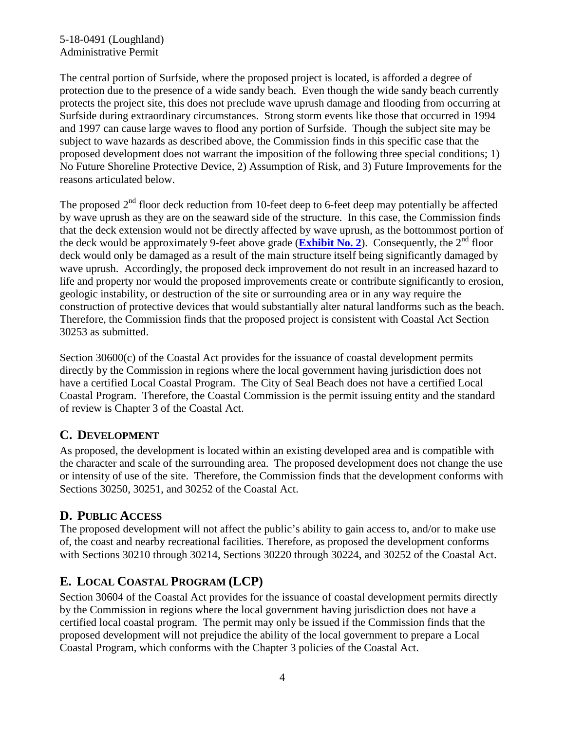#### 5-18-0491 (Loughland) Administrative Permit

The central portion of Surfside, where the proposed project is located, is afforded a degree of protection due to the presence of a wide sandy beach. Even though the wide sandy beach currently protects the project site, this does not preclude wave uprush damage and flooding from occurring at Surfside during extraordinary circumstances. Strong storm events like those that occurred in 1994 and 1997 can cause large waves to flood any portion of Surfside. Though the subject site may be subject to wave hazards as described above, the Commission finds in this specific case that the proposed development does not warrant the imposition of the following three special conditions; 1) No Future Shoreline Protective Device, 2) Assumption of Risk, and 3) Future Improvements for the reasons articulated below.

The proposed  $2<sup>nd</sup>$  floor deck reduction from 10-feet deep to 6-feet deep may potentially be affected by wave uprush as they are on the seaward side of the structure. In this case, the Commission finds that the deck extension would not be directly affected by wave uprush, as the bottommost portion of the deck would be approximately 9-feet above grade (**[Exhibit No. 2](https://documents.coastal.ca.gov/reports/2018/10/F5a/F5a-10-2018-exhibits.pdf)**). Consequently, the  $2<sup>nd</sup>$  floor deck would only be damaged as a result of the main structure itself being significantly damaged by wave uprush. Accordingly, the proposed deck improvement do not result in an increased hazard to life and property nor would the proposed improvements create or contribute significantly to erosion, geologic instability, or destruction of the site or surrounding area or in any way require the construction of protective devices that would substantially alter natural landforms such as the beach. Therefore, the Commission finds that the proposed project is consistent with Coastal Act Section 30253 as submitted.

Section 30600(c) of the Coastal Act provides for the issuance of coastal development permits directly by the Commission in regions where the local government having jurisdiction does not have a certified Local Coastal Program. The City of Seal Beach does not have a certified Local Coastal Program. Therefore, the Coastal Commission is the permit issuing entity and the standard of review is Chapter 3 of the Coastal Act.

### **C. DEVELOPMENT**

As proposed, the development is located within an existing developed area and is compatible with the character and scale of the surrounding area. The proposed development does not change the use or intensity of use of the site. Therefore, the Commission finds that the development conforms with Sections 30250, 30251, and 30252 of the Coastal Act.

### **D. PUBLIC ACCESS**

The proposed development will not affect the public's ability to gain access to, and/or to make use of, the coast and nearby recreational facilities. Therefore, as proposed the development conforms with Sections 30210 through 30214, Sections 30220 through 30224, and 30252 of the Coastal Act.

# **E. LOCAL COASTAL PROGRAM (LCP)**

Section 30604 of the Coastal Act provides for the issuance of coastal development permits directly by the Commission in regions where the local government having jurisdiction does not have a certified local coastal program. The permit may only be issued if the Commission finds that the proposed development will not prejudice the ability of the local government to prepare a Local Coastal Program, which conforms with the Chapter 3 policies of the Coastal Act.